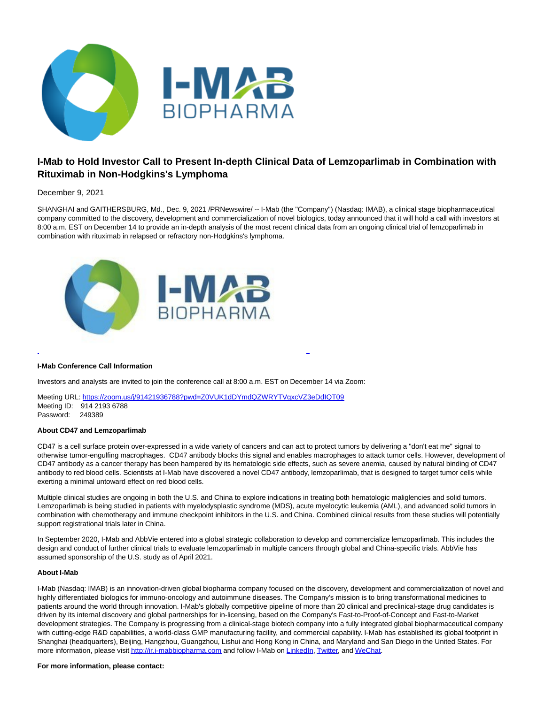

# **I-Mab to Hold Investor Call to Present In-depth Clinical Data of Lemzoparlimab in Combination with Rituximab in Non-Hodgkins's Lymphoma**

## December 9, 2021

SHANGHAI and GAITHERSBURG, Md., Dec. 9, 2021 /PRNewswire/ -- I-Mab (the "Company") (Nasdaq: IMAB), a clinical stage biopharmaceutical company committed to the discovery, development and commercialization of novel biologics, today announced that it will hold a call with investors at 8:00 a.m. EST on December 14 to provide an in-depth analysis of the most recent clinical data from an ongoing clinical trial of lemzoparlimab in combination with rituximab in relapsed or refractory non-Hodgkins's lymphoma.



#### **I-Mab Conference Call Information**

Investors and analysts are invited to join the conference call at 8:00 a.m. EST on December 14 via Zoom:

Meeting URL: https://zoom.us/i/91421936788?pwd=Z0VUK1dDYmdQZWRYTVgxcVZ3eDdIQT09 Meeting ID: 914 2193 6788 Password: 249389

### **About CD47 and Lemzoparlimab**

CD47 is a cell surface protein over-expressed in a wide variety of cancers and can act to protect tumors by delivering a "don't eat me" signal to otherwise tumor-engulfing macrophages. CD47 antibody blocks this signal and enables macrophages to attack tumor cells. However, development of CD47 antibody as a cancer therapy has been hampered by its hematologic side effects, such as severe anemia, caused by natural binding of CD47 antibody to red blood cells. Scientists at I-Mab have discovered a novel CD47 antibody, lemzoparlimab, that is designed to target tumor cells while exerting a minimal untoward effect on red blood cells.

֡֘

Multiple clinical studies are ongoing in both the U.S. and China to explore indications in treating both hematologic maliglencies and solid tumors. Lemzoparlimab is being studied in patients with myelodysplastic syndrome (MDS), acute myelocytic leukemia (AML), and advanced solid tumors in combination with chemotherapy and immune checkpoint inhibitors in the U.S. and China. Combined clinical results from these studies will potentially support registrational trials later in China.

In September 2020, I-Mab and AbbVie entered into a global strategic collaboration to develop and commercialize lemzoparlimab. This includes the design and conduct of further clinical trials to evaluate lemzoparlimab in multiple cancers through global and China-specific trials. AbbVie has assumed sponsorship of the U.S. study as of April 2021.

#### **About I-Mab**

I-Mab (Nasdaq: IMAB) is an innovation-driven global biopharma company focused on the discovery, development and commercialization of novel and highly differentiated biologics for immuno-oncology and autoimmune diseases. The Company's mission is to bring transformational medicines to patients around the world through innovation. I-Mab's globally competitive pipeline of more than 20 clinical and preclinical-stage drug candidates is driven by its internal discovery and global partnerships for in-licensing, based on the Company's Fast-to-Proof-of-Concept and Fast-to-Market development strategies. The Company is progressing from a clinical-stage biotech company into a fully integrated global biopharmaceutical company with cutting-edge R&D capabilities, a world-class GMP manufacturing facility, and commercial capability. I-Mab has established its global footprint in Shanghai (headquarters), Beijing, Hangzhou, Guangzhou, Lishui and Hong Kong in China, and Maryland and San Diego in the United States. For more information, please visit http://ir.j-mabbiopharma.com and follow I-Mab on [LinkedIn,](https://www.linkedin.com/company/i-mab/) [Twitter,](https://twitter.com/IMabBiopharma) an[d WeChat.](https://mp.weixin.qq.com/s/_s634aizyQPuq1Vgf-hLGA)

#### **For more information, please contact:**